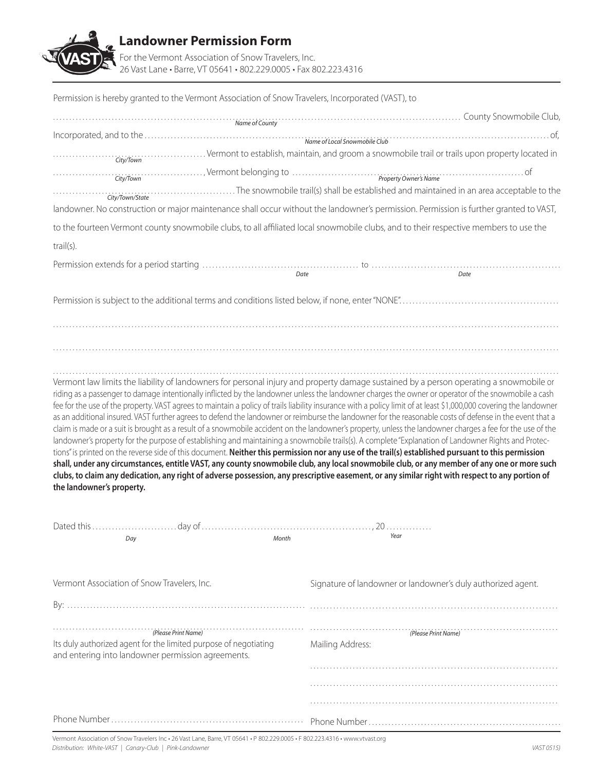

| Permission is hereby granted to the Vermont Association of Snow Travelers, Incorporated (VAST), to                                                                                                                                                                                                                         |                                                                                                                                                                                                                                |
|----------------------------------------------------------------------------------------------------------------------------------------------------------------------------------------------------------------------------------------------------------------------------------------------------------------------------|--------------------------------------------------------------------------------------------------------------------------------------------------------------------------------------------------------------------------------|
|                                                                                                                                                                                                                                                                                                                            | Name of County Street County County Snowmobile Club,                                                                                                                                                                           |
|                                                                                                                                                                                                                                                                                                                            |                                                                                                                                                                                                                                |
|                                                                                                                                                                                                                                                                                                                            | City/Town City/Town City/Town City/Town City/Town City/Town City/Town City/Town City/Town City/Town City/Town                                                                                                                  |
| CityTown CityTown (CityTown CityTown)                                                                                                                                                                                                                                                                                      |                                                                                                                                                                                                                                |
|                                                                                                                                                                                                                                                                                                                            | City/Town/State City/Town/State City/Town/State City/Town/State City/Town/State City/Town/State City/Town/State City/Town/State City/Town/State City/Town/State City/Town/State City/Town/State City/Town/State City/Town/Stat |
| landowner. No construction or major maintenance shall occur without the landowner's permission. Permission is further granted to VAST,                                                                                                                                                                                     |                                                                                                                                                                                                                                |
| to the fourteen Vermont county snowmobile clubs, to all affiliated local snowmobile clubs, and to their respective members to use the                                                                                                                                                                                      |                                                                                                                                                                                                                                |
| $trail(s)$ .                                                                                                                                                                                                                                                                                                               |                                                                                                                                                                                                                                |
|                                                                                                                                                                                                                                                                                                                            |                                                                                                                                                                                                                                |
| Date                                                                                                                                                                                                                                                                                                                       | Date                                                                                                                                                                                                                           |
|                                                                                                                                                                                                                                                                                                                            |                                                                                                                                                                                                                                |
|                                                                                                                                                                                                                                                                                                                            |                                                                                                                                                                                                                                |
|                                                                                                                                                                                                                                                                                                                            |                                                                                                                                                                                                                                |
|                                                                                                                                                                                                                                                                                                                            |                                                                                                                                                                                                                                |
|                                                                                                                                                                                                                                                                                                                            |                                                                                                                                                                                                                                |
| Vermont law limits the liability of landowners for personal injury and property damage sustained by a person operating a snowmobile or                                                                                                                                                                                     |                                                                                                                                                                                                                                |
| riding as a passenger to damage intentionally inflicted by the landowner unless the landowner charges the owner or operator of the snowmobile a cash<br>fee for the use of the property. VAST agrees to maintain a policy of trails liability insurance with a policy limit of at least \$1,000,000 covering the landowner |                                                                                                                                                                                                                                |
| as an additional insured. VAST further agrees to defend the landowner or reimburse the landowner for the reasonable costs of defense in the event that a                                                                                                                                                                   |                                                                                                                                                                                                                                |
| claim is made or a suit is brought as a result of a snowmobile accident on the landowner's property, unless the landowner charges a fee for the use of the                                                                                                                                                                 |                                                                                                                                                                                                                                |
| landowner's property for the purpose of establishing and maintaining a snowmobile trails(s). A complete "Explanation of Landowner Rights and Protec-<br>tions" is printed on the reverse side of this document. Neither this permission nor any use of the trail(s) established pursuant to this permission                |                                                                                                                                                                                                                                |
| shall, under any circumstances, entitle VAST, any county snowmobile club, any local snowmobile club, or any member of any one or more such                                                                                                                                                                                 |                                                                                                                                                                                                                                |
| clubs, to claim any dedication, any right of adverse possession, any prescriptive easement, or any similar right with respect to any portion of                                                                                                                                                                            |                                                                                                                                                                                                                                |
| the landowner's property.                                                                                                                                                                                                                                                                                                  |                                                                                                                                                                                                                                |
|                                                                                                                                                                                                                                                                                                                            |                                                                                                                                                                                                                                |
| Dated this<br>day of                                                                                                                                                                                                                                                                                                       | 20<br>Year                                                                                                                                                                                                                     |
| Month<br>Day                                                                                                                                                                                                                                                                                                               |                                                                                                                                                                                                                                |
|                                                                                                                                                                                                                                                                                                                            |                                                                                                                                                                                                                                |
| Vermont Association of Snow Travelers, Inc.                                                                                                                                                                                                                                                                                | Signature of landowner or landowner's duly authorized agent.                                                                                                                                                                   |
|                                                                                                                                                                                                                                                                                                                            |                                                                                                                                                                                                                                |
|                                                                                                                                                                                                                                                                                                                            |                                                                                                                                                                                                                                |
| (Please Print Name)                                                                                                                                                                                                                                                                                                        | (Please Print Name)                                                                                                                                                                                                            |
| Its duly authorized agent for the limited purpose of negotiating<br>and entering into landowner permission agreements.                                                                                                                                                                                                     | Mailing Address:                                                                                                                                                                                                               |
|                                                                                                                                                                                                                                                                                                                            |                                                                                                                                                                                                                                |
|                                                                                                                                                                                                                                                                                                                            |                                                                                                                                                                                                                                |
|                                                                                                                                                                                                                                                                                                                            |                                                                                                                                                                                                                                |
|                                                                                                                                                                                                                                                                                                                            |                                                                                                                                                                                                                                |